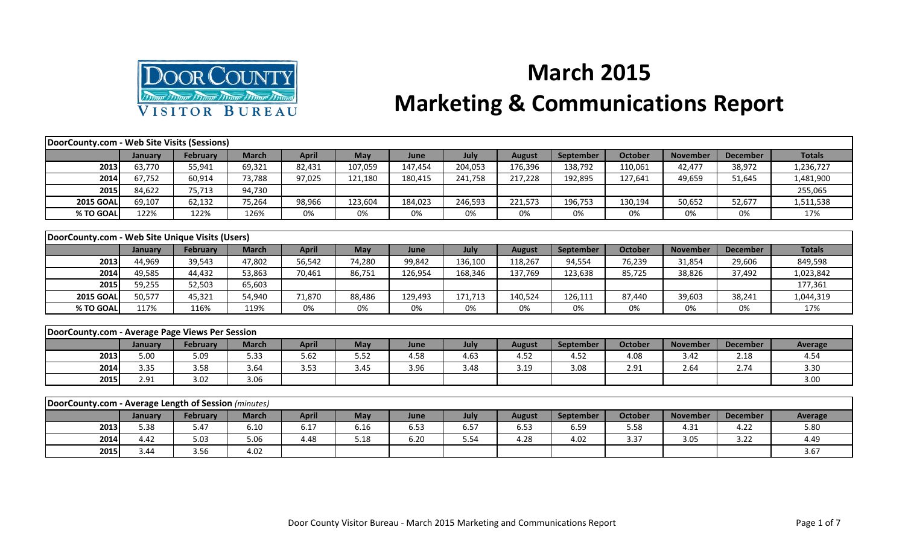

## **March 2015 Marketing & Communications Report**

| DoorCounty.com - Web Site Visits (Sessions)          |         |                 |              |              |            |         |         |               |                  |                |                 |                 |               |
|------------------------------------------------------|---------|-----------------|--------------|--------------|------------|---------|---------|---------------|------------------|----------------|-----------------|-----------------|---------------|
|                                                      | January | February        | <b>March</b> | <b>April</b> | <b>May</b> | June    | July    | <b>August</b> | <b>September</b> | <b>October</b> | <b>November</b> | <b>December</b> | <b>Totals</b> |
| 2013                                                 | 63,770  | 55,941          | 69,321       | 82,431       | 107,059    | 147,454 | 204,053 | 176,396       | 138,792          | 110,061        | 42,477          | 38,972          | 1,236,727     |
| 2014                                                 | 67,752  | 60,914          | 73,788       | 97,025       | 121,180    | 180,415 | 241,758 | 217,228       | 192,895          | 127,641        | 49,659          | 51,645          | 1,481,900     |
| 2015                                                 | 84,622  | 75,713          | 94,730       |              |            |         |         |               |                  |                |                 |                 | 255,065       |
| <b>2015 GOAL</b>                                     | 69,107  | 62,132          | 75,264       | 98,966       | 123,604    | 184,023 | 246,593 | 221,573       | 196,753          | 130,194        | 50,652          | 52,677          | 1,511,538     |
| % TO GOAL                                            | 122%    | 122%            | 126%         | 0%           | 0%         | 0%      | 0%      | 0%            | 0%               | 0%             | 0%              | 0%              | 17%           |
|                                                      |         |                 |              |              |            |         |         |               |                  |                |                 |                 |               |
| DoorCounty.com - Web Site Unique Visits (Users)      |         |                 |              |              |            |         |         |               |                  |                |                 |                 |               |
|                                                      | January | <b>February</b> | <b>March</b> | <b>April</b> | <b>May</b> | June    | July    | <b>August</b> | <b>September</b> | <b>October</b> | <b>November</b> | <b>December</b> | <b>Totals</b> |
| 2013                                                 | 44,969  | 39,543          | 47,802       | 56,542       | 74,280     | 99,842  | 136,100 | 118,267       | 94,554           | 76,239         | 31,854          | 29,606          | 849,598       |
| 2014                                                 | 49,585  | 44,432          | 53,863       | 70,461       | 86,751     | 126,954 | 168,346 | 137,769       | 123,638          | 85,725         | 38,826          | 37,492          | 1,023,842     |
| 2015                                                 | 59,255  | 52,503          | 65,603       |              |            |         |         |               |                  |                |                 |                 | 177,361       |
| <b>2015 GOAL</b>                                     | 50,577  | 45,321          | 54,940       | 71,870       | 88,486     | 129,493 | 171,713 | 140,524       | 126,111          | 87,440         | 39,603          | 38,241          | 1,044,319     |
| % TO GOAL                                            | 117%    | 116%            | 119%         | 0%           | 0%         | 0%      | 0%      | 0%            | 0%               | 0%             | 0%              | 0%              | 17%           |
|                                                      |         |                 |              |              |            |         |         |               |                  |                |                 |                 |               |
| DoorCounty.com - Average Page Views Per Session      |         |                 |              |              |            |         |         |               |                  |                |                 |                 |               |
|                                                      | January | February        | <b>March</b> | <b>April</b> | <b>May</b> | June    | July    | <b>August</b> | <b>September</b> | <b>October</b> | <b>November</b> | <b>December</b> | Average       |
| 2013                                                 | 5.00    | 5.09            | 5.33         | 5.62         | 5.52       | 4.58    | 4.63    | 4.52          | 4.52             | 4.08           | 3.42            | 2.18            | 4.54          |
| 2014                                                 | 3.35    | 3.58            | 3.64         | 3.53         | 3.45       | 3.96    | 3.48    | 3.19          | 3.08             | 2.91           | 2.64            | 2.74            | 3.30          |
| 2015                                                 | 2.91    | 3.02            | 3.06         |              |            |         |         |               |                  |                |                 |                 | 3.00          |
|                                                      |         |                 |              |              |            |         |         |               |                  |                |                 |                 |               |
| DoorCounty.com - Average Length of Session (minutes) |         |                 |              |              |            |         |         |               |                  |                |                 |                 |               |
|                                                      | January | February        | <b>March</b> | <b>April</b> | May        | June    | July    | <b>August</b> | September        | <b>October</b> | <b>November</b> | <b>December</b> | Average       |
| 2013                                                 | 5.38    | 5.47            | 6.10         | 6.17         | 6.16       | 6.53    | 6.57    | 6.53          | 6.59             | 5.58           | 4.31            | 4.22            | 5.80          |
| 2014                                                 | 4.42    | 5.03            | 5.06         | 4.48         | 5.18       | 6.20    | 5.54    | 4.28          | 4.02             | 3.37           | 3.05            | 3.22            | 4.49          |

**2015** 3.44 3.56 4.02 | | | | | | | | | | | | | | 3.67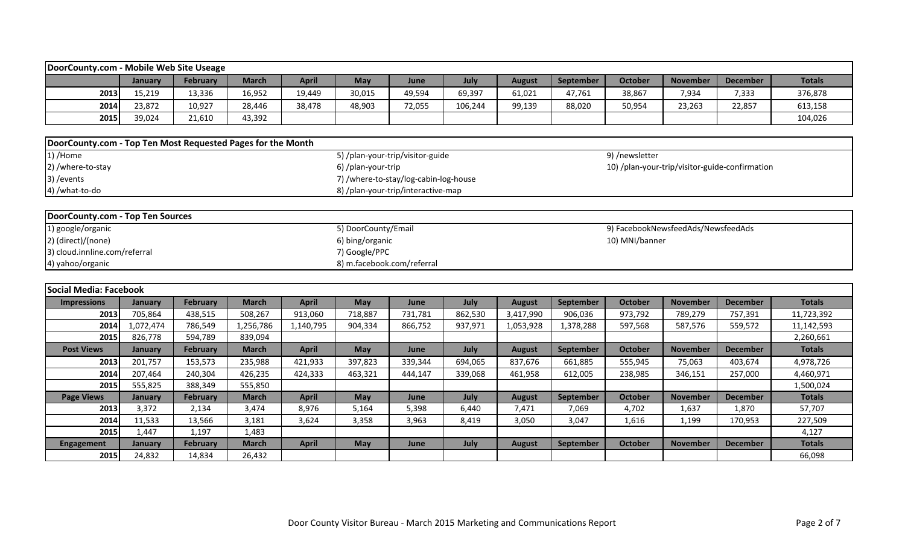| DoorCounty.com - Mobile Web Site Useage                     |                |                 |              |              |                            |                                       |         |               |                  |                                                |                 |                 |               |
|-------------------------------------------------------------|----------------|-----------------|--------------|--------------|----------------------------|---------------------------------------|---------|---------------|------------------|------------------------------------------------|-----------------|-----------------|---------------|
|                                                             | January        | February        | <b>March</b> | <b>April</b> | May                        | June                                  | July    | <b>August</b> | September        | <b>October</b>                                 | <b>November</b> | <b>December</b> | <b>Totals</b> |
| 2013                                                        | 15,219         | 13,336          | 16,952       | 19,449       | 30,015                     | 49,594                                | 69,397  | 61,021        | 47,761           | 38,867                                         | 7,934           | 7,333           | 376,878       |
| 2014                                                        | 23,872         | 10,927          | 28,446       | 38,478       | 48,903                     | 72,055                                | 106,244 | 99,139        | 88,020           | 50,954                                         | 23,263          | 22,857          | 613,158       |
| 2015                                                        | 39,024         | 21,610          | 43,392       |              |                            |                                       |         |               |                  |                                                |                 |                 | 104,026       |
|                                                             |                |                 |              |              |                            |                                       |         |               |                  |                                                |                 |                 |               |
| DoorCounty.com - Top Ten Most Requested Pages for the Month |                |                 |              |              |                            |                                       |         |               |                  |                                                |                 |                 |               |
| 1) /Home                                                    |                |                 |              |              |                            | 5) /plan-your-trip/visitor-guide      |         |               |                  | 9) /newsletter                                 |                 |                 |               |
| 2) /where-to-stay                                           |                |                 |              |              | 6) /plan-your-trip         |                                       |         |               |                  | 10) /plan-your-trip/visitor-guide-confirmation |                 |                 |               |
| 3) / events                                                 |                |                 |              |              |                            | 7) /where-to-stay/log-cabin-log-house |         |               |                  |                                                |                 |                 |               |
| 4) /what-to-do                                              |                |                 |              |              |                            | 8) /plan-your-trip/interactive-map    |         |               |                  |                                                |                 |                 |               |
|                                                             |                |                 |              |              |                            |                                       |         |               |                  |                                                |                 |                 |               |
| DoorCounty.com - Top Ten Sources                            |                |                 |              |              |                            |                                       |         |               |                  |                                                |                 |                 |               |
| 1) google/organic                                           |                |                 |              |              | 5) DoorCounty/Email        |                                       |         |               |                  | 9) FacebookNewsfeedAds/NewsfeedAds             |                 |                 |               |
| 2) (direct)/(none)                                          |                |                 |              |              | 6) bing/organic            |                                       |         |               |                  | 10) MNI/banner                                 |                 |                 |               |
| 3) cloud.innline.com/referral                               |                |                 |              |              | 7) Google/PPC              |                                       |         |               |                  |                                                |                 |                 |               |
| 4) yahoo/organic                                            |                |                 |              |              | 8) m.facebook.com/referral |                                       |         |               |                  |                                                |                 |                 |               |
|                                                             |                |                 |              |              |                            |                                       |         |               |                  |                                                |                 |                 |               |
| Social Media: Facebook                                      |                |                 |              |              |                            |                                       |         |               |                  |                                                |                 |                 |               |
| <b>Impressions</b>                                          | January        | February        | <b>March</b> | <b>April</b> | May                        | June                                  | July    | <b>August</b> | September        | October                                        | <b>November</b> | <b>December</b> | <b>Totals</b> |
| 2013                                                        | 705,864        | 438,515         | 508,267      | 913,060      | 718,887                    | 731,781                               | 862,530 | 3,417,990     | 906,036          | 973,792                                        | 789,279         | 757,391         | 11,723,392    |
| 2014                                                        | 1,072,474      | 786,549         | 1,256,786    | 1,140,795    | 904,334                    | 866,752                               | 937,971 | 1,053,928     | 1,378,288        | 597,568                                        | 587,576         | 559,572         | 11,142,593    |
| 2015                                                        | 826,778        | 594,789         | 839,094      |              |                            |                                       |         |               |                  |                                                |                 |                 | 2,260,661     |
| <b>Post Views</b>                                           | January        | <b>February</b> | <b>March</b> | <b>April</b> | May                        | June                                  | July    | <b>August</b> | September        | <b>October</b>                                 | <b>November</b> | <b>December</b> | <b>Totals</b> |
| 2013                                                        | 201,757        | 153,573         | 235,988      | 421,933      | 397,823                    | 339,344                               | 694,065 | 837,676       | 661,885          | 555,945                                        | 75,063          | 403,674         | 4,978,726     |
| 2014                                                        | 207,464        | 240,304         | 426,235      | 424,333      | 463,321                    | 444,147                               | 339,068 | 461,958       | 612,005          | 238,985                                        | 346,151         | 257,000         | 4,460,971     |
| 2015                                                        | 555,825        | 388,349         | 555,850      |              |                            |                                       |         |               |                  |                                                |                 |                 | 1,500,024     |
| <b>Page Views</b>                                           | January        | <b>February</b> | <b>March</b> | <b>April</b> | May                        | June                                  | July    | <b>August</b> | <b>September</b> | <b>October</b>                                 | <b>November</b> | <b>December</b> | <b>Totals</b> |
| 2013                                                        | 3,372          | 2,134           | 3,474        | 8,976        | 5,164                      | 5,398                                 | 6,440   | 7,471         | 7,069            | 4,702                                          | 1,637           | 1,870           | 57,707        |
| 2014                                                        | 11,533         | 13,566          | 3,181        | 3,624        | 3,358                      | 3,963                                 | 8,419   | 3,050         | 3,047            | 1,616                                          | 1,199           | 170,953         | 227,509       |
| 2015                                                        | 1,447          | 1,197           | 1,483        |              |                            |                                       |         |               |                  |                                                |                 |                 | 4,127         |
| <b>Engagement</b>                                           | <b>January</b> | <b>February</b> | <b>March</b> | <b>April</b> | May                        | June                                  | July    | <b>August</b> | September        | October                                        | <b>November</b> | <b>December</b> | <b>Totals</b> |
| 2015                                                        | 24,832         | 14,834          | 26,432       |              |                            |                                       |         |               |                  |                                                |                 |                 | 66,098        |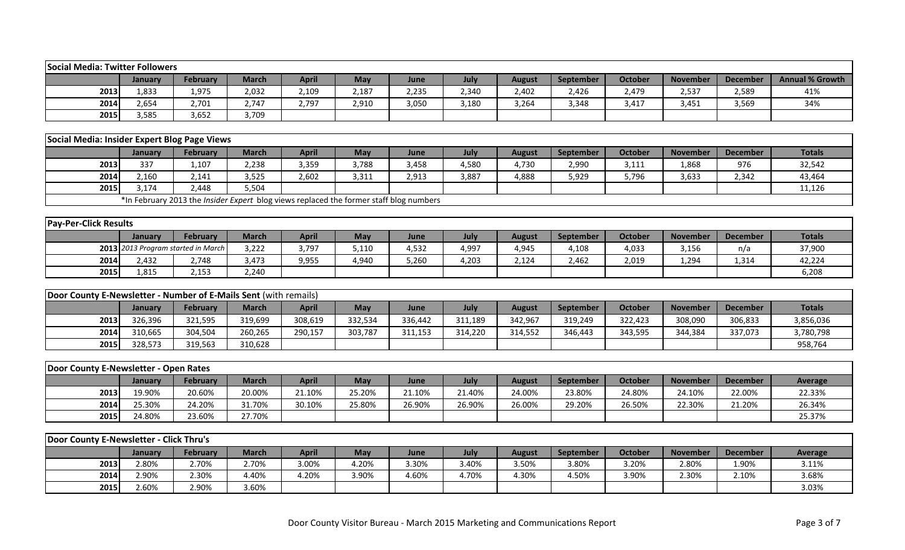| <b>Social Media: Twitter Followers</b>                           |         |                                                                                        |              |              |         |         |         |               |                  |                |                 |                 |                        |
|------------------------------------------------------------------|---------|----------------------------------------------------------------------------------------|--------------|--------------|---------|---------|---------|---------------|------------------|----------------|-----------------|-----------------|------------------------|
|                                                                  | January | <b>February</b>                                                                        | <b>March</b> | <b>April</b> | May     | June    | July    | <b>August</b> | September        | <b>October</b> | <b>November</b> | <b>December</b> | <b>Annual % Growth</b> |
| 2013                                                             | 1,833   | 1,975                                                                                  | 2,032        | 2,109        | 2,187   | 2,235   | 2,340   | 2,402         | 2,426            | 2,479          | 2,537           | 2,589           | 41%                    |
| 2014                                                             | 2,654   | 2,701                                                                                  | 2,747        | 2,797        | 2,910   | 3,050   | 3,180   | 3,264         | 3,348            | 3,417          | 3,451           | 3,569           | 34%                    |
| 2015                                                             | 3,585   | 3,652                                                                                  | 3,709        |              |         |         |         |               |                  |                |                 |                 |                        |
|                                                                  |         |                                                                                        |              |              |         |         |         |               |                  |                |                 |                 |                        |
| Social Media: Insider Expert Blog Page Views                     |         |                                                                                        |              |              |         |         |         |               |                  |                |                 |                 |                        |
|                                                                  | January | <b>February</b>                                                                        | <b>March</b> | <b>April</b> | May     | June    | July    | <b>August</b> | September        | <b>October</b> | <b>November</b> | <b>December</b> | <b>Totals</b>          |
| 2013                                                             | 337     | 1,107                                                                                  | 2,238        | 3,359        | 3,788   | 3,458   | 4,580   | 4,730         | 2,990            | 3,111          | 1,868           | 976             | 32,542                 |
| 2014                                                             | 2,160   | 2,141                                                                                  | 3,525        | 2,602        | 3,311   | 2,913   | 3,887   | 4,888         | 5,929            | 5,796          | 3,633           | 2,342           | 43,464                 |
| 2015                                                             | 3,174   | 2,448                                                                                  | 5,504        |              |         |         |         |               |                  |                |                 |                 | 11,126                 |
|                                                                  |         | *In February 2013 the Insider Expert blog views replaced the former staff blog numbers |              |              |         |         |         |               |                  |                |                 |                 |                        |
|                                                                  |         |                                                                                        |              |              |         |         |         |               |                  |                |                 |                 |                        |
| <b>Pay-Per-Click Results</b>                                     |         |                                                                                        |              |              |         |         |         |               |                  |                |                 |                 |                        |
|                                                                  | January | February                                                                               | <b>March</b> | <b>April</b> | May     | June    | July    | <b>August</b> | September        | <b>October</b> | <b>November</b> | <b>December</b> | <b>Totals</b>          |
|                                                                  |         | 2013 2013 Program started in March                                                     | 3,222        | 3,797        | 5,110   | 4,532   | 4,997   | 4,945         | 4,108            | 4,033          | 3,156           | n/a             | 37,900                 |
| 2014                                                             | 2,432   | 2,748                                                                                  | 3,473        | 9,955        | 4,940   | 5,260   | 4,203   | 2,124         | 2,462            | 2,019          | 1,294           | 1,314           | 42,224                 |
| 2015                                                             | 1,815   | 2,153                                                                                  | 2,240        |              |         |         |         |               |                  |                |                 |                 | 6,208                  |
|                                                                  |         |                                                                                        |              |              |         |         |         |               |                  |                |                 |                 |                        |
| Door County E-Newsletter - Number of E-Mails Sent (with remails) |         |                                                                                        |              |              |         |         |         |               |                  |                |                 |                 |                        |
|                                                                  | January | <b>February</b>                                                                        | <b>March</b> | <b>April</b> | May     | June    | July    | <b>August</b> | September        | <b>October</b> | <b>November</b> | <b>December</b> | <b>Totals</b>          |
| 2013                                                             | 326,396 | 321,595                                                                                | 319,699      | 308,619      | 332,534 | 336,442 | 311,189 | 342,967       | 319,249          | 322,423        | 308,090         | 306,833         | 3,856,036              |
| 2014                                                             | 310,665 | 304,504                                                                                | 260,265      | 290,157      | 303,787 | 311,153 | 314,220 | 314,552       | 346,443          | 343,595        | 344,384         | 337,073         | 3,780,798              |
| 2015                                                             | 328,573 | 319,563                                                                                | 310,628      |              |         |         |         |               |                  |                |                 |                 | 958,764                |
|                                                                  |         |                                                                                        |              |              |         |         |         |               |                  |                |                 |                 |                        |
| Door County E-Newsletter - Open Rates                            |         |                                                                                        |              |              |         |         |         |               |                  |                |                 |                 |                        |
|                                                                  | January | <b>February</b>                                                                        | <b>March</b> | <b>April</b> | May     | June    | July    | <b>August</b> | <b>September</b> | <b>October</b> | <b>November</b> | <b>December</b> | <b>Average</b>         |
| 2013                                                             | 19.90%  | 20.60%                                                                                 | 20.00%       | 21.10%       | 25.20%  | 21.10%  | 21.40%  | 24.00%        | 23.80%           | 24.80%         | 24.10%          | 22.00%          | 22.33%                 |
| 2014                                                             | 25.30%  | 24.20%                                                                                 | 31.70%       | 30.10%       | 25.80%  | 26.90%  | 26.90%  | 26.00%        | 29.20%           | 26.50%         | 22.30%          | 21.20%          | 26.34%                 |
| 2015                                                             | 24.80%  | 23.60%                                                                                 | 27.70%       |              |         |         |         |               |                  |                |                 |                 | 25.37%                 |
|                                                                  |         |                                                                                        |              |              |         |         |         |               |                  |                |                 |                 |                        |
| Door County E-Newsletter - Click Thru's                          |         |                                                                                        |              |              |         |         |         |               |                  |                |                 |                 |                        |
|                                                                  | January | <b>February</b>                                                                        | <b>March</b> | <b>April</b> | May     | June    | July    | <b>August</b> | September        | <b>October</b> | <b>November</b> | <b>December</b> | <b>Average</b>         |
| 2013                                                             | 2.80%   | 2.70%                                                                                  | 2.70%        | 3.00%        | 4.20%   | 3.30%   | 3.40%   | 3.50%         | 3.80%            | 3.20%          | 2.80%           | 1.90%           | 3.11%                  |
| 2014                                                             | 2.90%   | 2.30%                                                                                  | 4.40%        | 4.20%        | 3.90%   | 4.60%   | 4.70%   | 4.30%         | 4.50%            | 3.90%          | 2.30%           | 2.10%           | 3.68%                  |
| 2015                                                             | 2.60%   | 2.90%                                                                                  | 3.60%        |              |         |         |         |               |                  |                |                 |                 | 3.03%                  |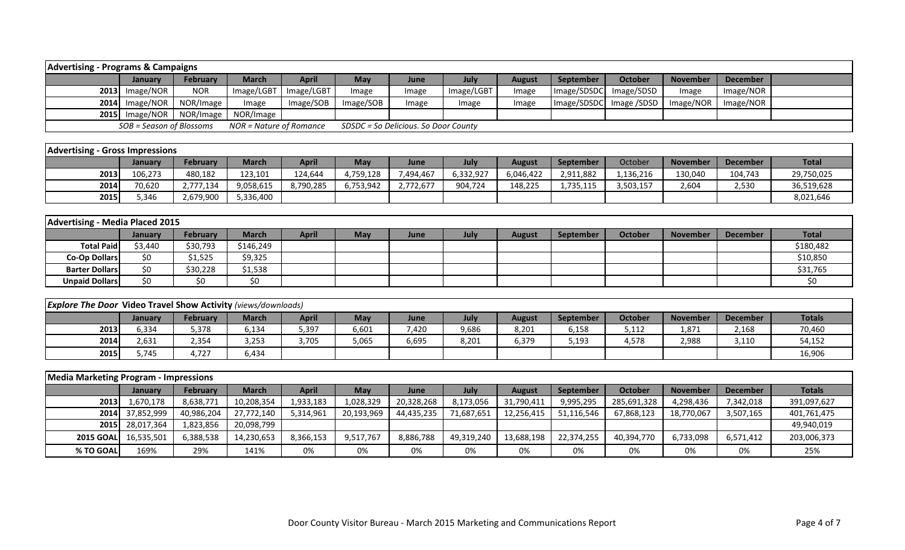| <b>Advertising - Programs &amp; Campaigns</b> |                          |                            |                         |              |           |                                      |            |               |             |             |                 |                 |  |
|-----------------------------------------------|--------------------------|----------------------------|-------------------------|--------------|-----------|--------------------------------------|------------|---------------|-------------|-------------|-----------------|-----------------|--|
|                                               | Januarv                  | <b>February</b>            | March                   | <b>April</b> | May       | June                                 | July       | <b>August</b> | September   | October     | <b>November</b> | <b>December</b> |  |
|                                               | 2013 Image/NOR           | <b>NOR</b>                 | Image/LGBT              | Image/LGBT   | Image     | Image                                | Image/LGBT | Image         | Image/SDSDC | Image/SDSD  | Image           | Image/NOR       |  |
|                                               | $2014$ Image/NOR         | NOR/Image                  | Image                   | Image/SOB    | Image/SOB | Image                                | Image      | Image         | Image/SDSDC | Image /SDSD | Image/NOR       | Image/NOR       |  |
|                                               |                          | 2015 Image/NOR   NOR/Image | NOR/Image               |              |           |                                      |            |               |             |             |                 |                 |  |
|                                               | SOB = Season of Blossoms |                            | NOR = Nature of Romance |              |           | SDSDC = So Delicious. So Door County |            |               |             |             |                 |                 |  |

| <b>Advertising - Gross Impressions</b> |         |                 |           |              |           |                       |           |           |                  |           |                 |                 |              |
|----------------------------------------|---------|-----------------|-----------|--------------|-----------|-----------------------|-----------|-----------|------------------|-----------|-----------------|-----------------|--------------|
|                                        | Januarv | <b>February</b> | March     | <b>April</b> | May       | June                  | July      | August    | <b>September</b> | October   | <b>November</b> | <b>December</b> | <b>Total</b> |
| 2013                                   | 106,273 | 480,182         | 123,101   | 124,644      | 4,759,128 | 7,494,467             | 6,332,927 | 6,046,422 | 2,911,882        | .,136,216 | 130,040         | 104,743         | 29,750,025   |
| 2014                                   | 70,620  | 2,777,134       | 9,058,615 | 8,790,285    | 6,753,942 | 2,772,67 <sup>-</sup> | 904,724   | 148,225   | 1,735,115        | 3,503,157 | 2,604           | 2,530           | 36,519,628   |
| 2015                                   | 5.346   | 2,679,900       | 5,336,400 |              |           |                       |           |           |                  |           |                 |                 | 8,021,646    |

| Advertising - Media Placed 2015 |                |                 |              |              |            |      |      |               |                  |         |                 |                 |              |
|---------------------------------|----------------|-----------------|--------------|--------------|------------|------|------|---------------|------------------|---------|-----------------|-----------------|--------------|
|                                 | <b>January</b> | <b>February</b> | <b>March</b> | <b>April</b> | <b>May</b> | June | July | <b>August</b> | <b>September</b> | October | <b>November</b> | <b>December</b> | <b>Total</b> |
| <b>Total Paid</b>               | \$3,440        | \$30,793        | \$146,249    |              |            |      |      |               |                  |         |                 |                 | \$180,482    |
| <b>Co-Op Dollars</b>            | \$0            | \$1,525         | \$9,325      |              |            |      |      |               |                  |         |                 |                 | \$10,850     |
| <b>Barter Dollars</b>           | \$0            | \$30,228        | \$1,538      |              |            |      |      |               |                  |         |                 |                 | \$31,765     |
| <b>Unpaid Dollars</b>           | \$0            | \$0             | \$0          |              |            |      |      |               |                  |         |                 |                 |              |

| <b>Explore The Door Video Travel Show Activity (views/downloads)</b> |                |          |       |       |            |       |       |        |           |         |                 |          |               |
|----------------------------------------------------------------------|----------------|----------|-------|-------|------------|-------|-------|--------|-----------|---------|-----------------|----------|---------------|
|                                                                      | <b>January</b> | February | March | April | <b>May</b> | June  | July  | August | September | October | <b>November</b> | December | <b>Totals</b> |
| 2013                                                                 | 6,334          | 5,378    | 6,134 | 5,397 | 6,601      | 7,420 | 9,686 | 8,201  | 6,158     | 5,112   | 1,871           | 2,168    | 70,460        |
| 2014                                                                 | 2,631          | 2,354    | 3,253 | 3,705 | 5,065      | 6,695 | 8,201 | 6,379  | 5,193     | 4,578   | 2,988           | 3,110    | 54,152        |
| 2015                                                                 | 5.745          | 4,727    | 6,434 |       |            |       |       |        |           |         |                 |          | 16,906        |

| <b>Media Marketing Program - Impressions</b> |                      |                 |              |              |            |            |            |               |                  |                |                 |                 |               |
|----------------------------------------------|----------------------|-----------------|--------------|--------------|------------|------------|------------|---------------|------------------|----------------|-----------------|-----------------|---------------|
|                                              | <b>January</b>       | <b>February</b> | <b>March</b> | <b>April</b> | May        | June       | July       | <b>August</b> | <b>September</b> | <b>October</b> | <b>November</b> | <b>December</b> | <b>Totals</b> |
| 2013                                         | 1,670,178            | 8,638,771       | 10,208,354   | 1,933,183    | 1,028,329  | 20,328,268 | 8,173,056  | 31,790,411    | 9,995,295        | 285,691,328    | 4,298,436       | 7,342,018       | 391,097,627   |
|                                              | 2014 37,852,999      | 40,986,204      | 27,772,140   | 5,314,961    | 20,193,969 | 44,435,235 | 71,687,651 | 12,256,415    | 51,116,546       | 67,868,123     | 18,770,067      | 3,507,165       | 401,761,475   |
|                                              | 2015 28,017,364      | 1,823,856       | 20,098,799   |              |            |            |            |               |                  |                |                 |                 | 49,940,019    |
|                                              | 2015 GOAL 16,535,501 | 6,388,538       | 14,230,653   | 8,366,153    | 9,517,767  | 8,886,788  | 49,319,240 | 13,688,198    | 22,374,255       | 40,394,770     | 6,733,098       | 6,571,412       | 203,006,373   |
| % TO GOAL                                    | 169%                 | 29%             | 141%         | 0%           | 0%         | 0%         | 0%         | 0%            | 0%               | 0%             | 0%              | 0%              | 25%           |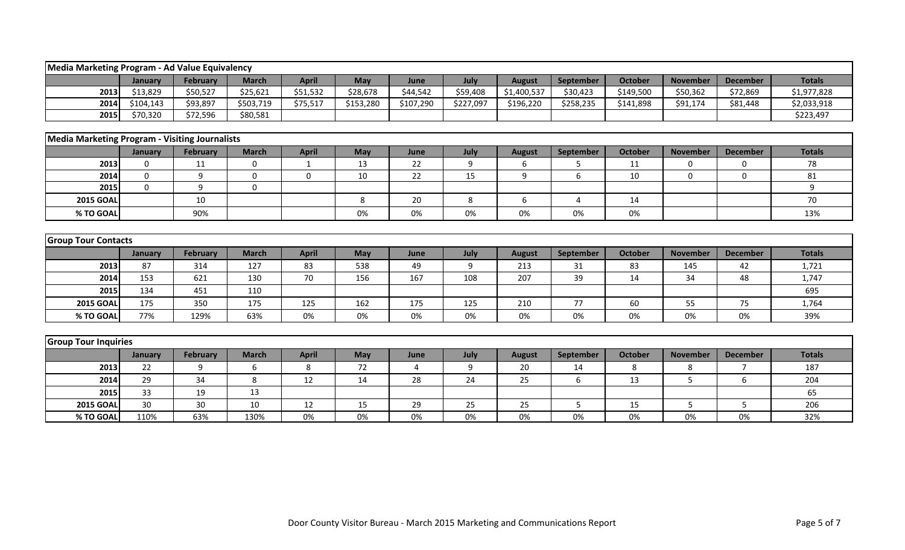| Media Marketing Program - Ad Value Equivalency        |                  |                 |                  |              |           |           |                  |               |           |                |                 |                 |               |
|-------------------------------------------------------|------------------|-----------------|------------------|--------------|-----------|-----------|------------------|---------------|-----------|----------------|-----------------|-----------------|---------------|
|                                                       | January          | <b>February</b> | <b>March</b>     | <b>April</b> | May       | June      | July             | <b>August</b> | September | <b>October</b> | <b>November</b> | <b>December</b> | <b>Totals</b> |
| 2013                                                  | \$13,829         | \$50,527        | \$25,621         | \$51,532     | \$28,678  | \$44,542  | \$59,408         | \$1,400,537   | \$30,423  | \$149,500      | \$50,362        | \$72,869        | \$1,977,828   |
| 2014                                                  | \$104,143        | \$93,897        | \$503,719        | \$75,517     | \$153,280 | \$107,290 | \$227,097        | \$196,220     | \$258,235 | \$141,898      | \$91,174        | \$81,448        | \$2,033,918   |
| 2015                                                  | \$70,320         | \$72,596        | \$80,581         |              |           |           |                  |               |           |                |                 |                 | \$223,497     |
|                                                       |                  |                 |                  |              |           |           |                  |               |           |                |                 |                 |               |
| <b>Media Marketing Program - Visiting Journalists</b> |                  |                 |                  |              |           |           |                  |               |           |                |                 |                 |               |
|                                                       | January          | <b>February</b> | <b>March</b>     | <b>April</b> | May       | June      | July             | <b>August</b> | September | <b>October</b> | <b>November</b> | <b>December</b> | <b>Totals</b> |
| 2013                                                  | $\boldsymbol{0}$ | 11              | $\boldsymbol{0}$ | $\mathbf{1}$ | 13        | 22        | $\boldsymbol{9}$ | 6             | 5         | 11             | 0               | 0               | 78            |
| 2014                                                  | $\mathbf{0}$     | 9               | $\mathbf 0$      | $\mathbf 0$  | 10        | 22        | 15               | 9             | 6         | 10             | $\Omega$        | $\Omega$        | 81            |
| 2015                                                  | $\Omega$         | 9               | $\mathbf 0$      |              |           |           |                  |               |           |                |                 |                 | 9             |
| <b>2015 GOAL</b>                                      |                  | 10              |                  |              | 8         | 20        | 8                | 6             | 4         | 14             |                 |                 | 70            |
| % TO GOAL                                             |                  | 90%             |                  |              | 0%        | $0\%$     | 0%               | 0%            | 0%        | 0%             |                 |                 | 13%           |
|                                                       |                  |                 |                  |              |           |           |                  |               |           |                |                 |                 |               |
| <b>Group Tour Contacts</b>                            |                  |                 |                  |              |           |           |                  |               |           |                |                 |                 |               |
|                                                       | January          | February        | <b>March</b>     | <b>April</b> | May       | June      | July             | <b>August</b> | September | <b>October</b> | <b>November</b> | <b>December</b> | <b>Totals</b> |
| 2013                                                  | 87               | 314             | 127              | 83           | 538       | 49        | 9                | 213           | 31        | 83             | 145             | 42              | 1,721         |
| 2014                                                  | 153              | 621             | 130              | 70           | 156       | 167       | 108              | 207           | 39        | 14             | 34              | 48              | 1,747         |
| 2015                                                  | 134              | 451             | 110              |              |           |           |                  |               |           |                |                 |                 | 695           |
| <b>2015 GOAL</b>                                      | 175              | 350             | 175              | 125          | 162       | 175       | 125              | 210           | 77        | 60             | 55              | 75              | 1,764         |
| % TO GOAL                                             | 77%              | 129%            | 63%              | 0%           | 0%        | 0%        | 0%               | 0%            | 0%        | 0%             | 0%              | 0%              | 39%           |
|                                                       |                  |                 |                  |              |           |           |                  |               |           |                |                 |                 |               |
| <b>Group Tour Inquiries</b>                           |                  |                 |                  |              |           |           |                  |               |           |                |                 |                 |               |
|                                                       | January          | February        | <b>March</b>     | <b>April</b> | May       | June      | July             | <b>August</b> | September | <b>October</b> | <b>November</b> | <b>December</b> | <b>Totals</b> |
| 2013                                                  | 22               | 9               | 6                | 8            | 72        | 4         | 9                | 20            | 14        | 8              | 8               | $\overline{7}$  | 187           |
| 2014                                                  | 29               | 34              | 8                | 12           | 14        | 28        | 24               | 25            | 6         | 13             | 5               | 6               | 204           |
| 2015                                                  | 33               | 19              | 13               |              |           |           |                  |               |           |                |                 |                 | 65            |
| <b>2015 GOAL</b>                                      | 30               | 30              | 10               | 12           | 15        | 29        | 25               | 25            | 5         | 15             | 5               | 5               | 206           |
| % TO GOAL                                             | 110%             | 63%             | 130%             | $0\%$        | 0%        | 0%        | 0%               | 0%            | 0%        | $0\%$          | 0%              | 0%              | 32%           |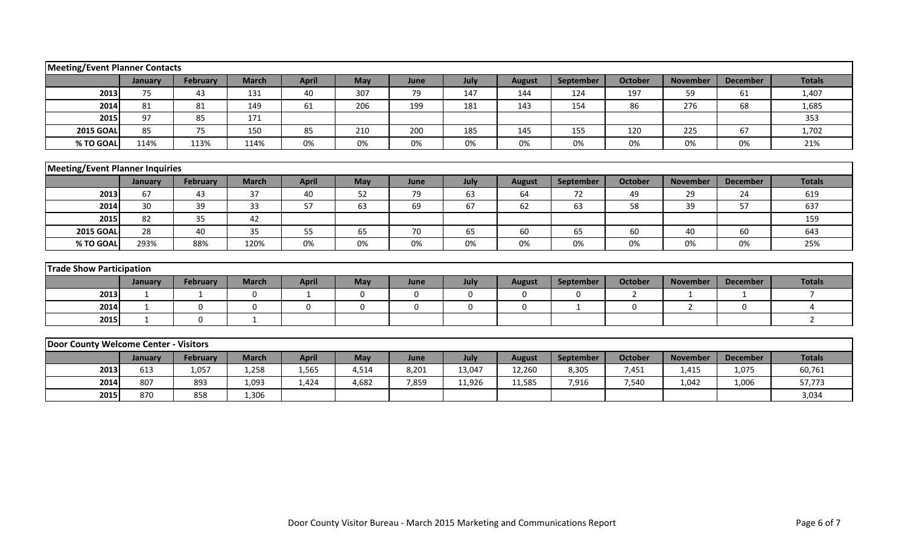| <b>Meeting/Event Planner Contacts</b>  |                 |                 |              |              |             |       |             |               |           |                |                 |                 |                |
|----------------------------------------|-----------------|-----------------|--------------|--------------|-------------|-------|-------------|---------------|-----------|----------------|-----------------|-----------------|----------------|
|                                        | January         | February        | <b>March</b> | <b>April</b> | May         | June  | July        | <b>August</b> | September | <b>October</b> | <b>November</b> | <b>December</b> | <b>Totals</b>  |
| 2013                                   | 75              | 43              | 131          | 40           | 307         | 79    | 147         | 144           | 124       | 197            | 59              | 61              | 1,407          |
| 2014                                   | 81              | 81              | 149          | 61           | 206         | 199   | 181         | 143           | 154       | 86             | 276             | 68              | 1,685          |
| 2015                                   | 97              | 85              | 171          |              |             |       |             |               |           |                |                 |                 | 353            |
| <b>2015 GOAL</b>                       | 85              | 75              | 150          | 85           | 210         | 200   | 185         | 145           | 155       | 120            | 225             | 67              | 1,702          |
| % TO GOAL                              | 114%            | 113%            | 114%         | 0%           | 0%          | 0%    | 0%          | 0%            | 0%        | 0%             | 0%              | 0%              | 21%            |
|                                        |                 |                 |              |              |             |       |             |               |           |                |                 |                 |                |
| <b>Meeting/Event Planner Inquiries</b> |                 |                 |              |              |             |       |             |               |           |                |                 |                 |                |
|                                        | January         | <b>February</b> | <b>March</b> | <b>April</b> | May         | June  | July        | <b>August</b> | September | <b>October</b> | <b>November</b> | <b>December</b> | <b>Totals</b>  |
| 2013                                   | 67              | 43              | 37           | 40           | 52          | 79    | 63          | 64            | 72        | 49             | 29              | 24              | 619            |
| 2014                                   | 30 <sup>°</sup> | 39              | 33           | 57           | 63          | 69    | 67          | 62            | 63        | 58             | 39              | 57              | 637            |
| 2015                                   | 82              | 35              | 42           |              |             |       |             |               |           |                |                 |                 | 159            |
| <b>2015 GOAL</b>                       | 28              | 40              | 35           | 55           | 65          | 70    | 65          | 60            | 65        | 60             | 40              | 60              | 643            |
| % TO GOAL                              | 293%            | 88%             | 120%         | 0%           | 0%          | 0%    | 0%          | 0%            | 0%        | 0%             | 0%              | 0%              | 25%            |
|                                        |                 |                 |              |              |             |       |             |               |           |                |                 |                 |                |
| <b>Trade Show Participation</b>        |                 |                 |              |              |             |       |             |               |           |                |                 |                 |                |
|                                        | January         | <b>February</b> | <b>March</b> | <b>April</b> | May         | June  | July        | <b>August</b> | September | <b>October</b> | <b>November</b> | <b>December</b> | <b>Totals</b>  |
| 2013                                   | 1               | 1               | $\mathbf 0$  | 1            | $\mathbf 0$ | 0     | $\mathbf 0$ | $\mathbf 0$   | 0         | $\overline{2}$ | 1               | 1               | $\overline{7}$ |
| 2014                                   | $\mathbf{1}$    | $\mathbf 0$     | 0            | 0            | 0           | 0     | 0           | 0             | 1         | 0              | $\overline{2}$  | $\mathbf 0$     | 4              |
| 2015                                   | $\mathbf{1}$    | $\Omega$        | $\mathbf{1}$ |              |             |       |             |               |           |                |                 |                 | $\overline{2}$ |
|                                        |                 |                 |              |              |             |       |             |               |           |                |                 |                 |                |
| Door County Welcome Center - Visitors  |                 |                 |              |              |             |       |             |               |           |                |                 |                 |                |
|                                        | January         | February        | <b>March</b> | <b>April</b> | May         | June  | July        | <b>August</b> | September | <b>October</b> | <b>November</b> | <b>December</b> | <b>Totals</b>  |
| 2013                                   | 613             | 1,057           | 1,258        | 1,565        | 4,514       | 8,201 | 13,047      | 12,260        | 8,305     | 7,451          | 1,415           | 1,075           | 60,761         |
| 2014                                   | 807             | 893             | 1,093        | 1,424        | 4,682       | 7,859 | 11,926      | 11,585        | 7,916     | 7,540          | 1,042           | 1,006           | 57,773         |
| 2015                                   | 870             | 858             | 1,306        |              |             |       |             |               |           |                |                 |                 | 3,034          |